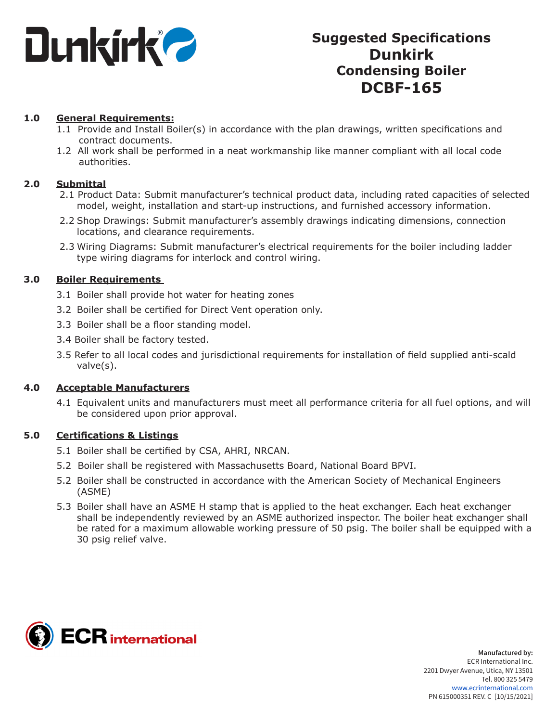

# **Suggested Specifications Dunkirk Condensing Boiler DCBF-165**

### **1.0 General Requirements:**

- 1.1 Provide and Install Boiler(s) in accordance with the plan drawings, written specifications and contract documents.
- 1.2 All work shall be performed in a neat workmanship like manner compliant with all local code authorities.

### **2.0 Submittal**

- 2.1 Product Data: Submit manufacturer's technical product data, including rated capacities of selected model, weight, installation and start-up instructions, and furnished accessory information.
- 2.2 Shop Drawings: Submit manufacturer's assembly drawings indicating dimensions, connection locations, and clearance requirements.
- 2.3 Wiring Diagrams: Submit manufacturer's electrical requirements for the boiler including ladder type wiring diagrams for interlock and control wiring.

#### **3.0 Boiler Requirements**

- 3.1 Boiler shall provide hot water for heating zones
- 3.2 Boiler shall be certified for Direct Vent operation only.
- 3.3 Boiler shall be a floor standing model.
- 3.4 Boiler shall be factory tested.
- 3.5 Refer to all local codes and jurisdictional requirements for installation of field supplied anti-scald valve(s).

#### **4.0 Acceptable Manufacturers**

4.1 Equivalent units and manufacturers must meet all performance criteria for all fuel options, and will be considered upon prior approval.

#### **5.0 Certifications & Listings**

- 5.1 Boiler shall be certified by CSA, AHRI, NRCAN.
- 5.2 Boiler shall be registered with Massachusetts Board, National Board BPVI.
- 5.2 Boiler shall be constructed in accordance with the American Society of Mechanical Engineers (ASME)
- 5.3 Boiler shall have an ASME H stamp that is applied to the heat exchanger. Each heat exchanger shall be independently reviewed by an ASME authorized inspector. The boiler heat exchanger shall be rated for a maximum allowable working pressure of 50 psig. The boiler shall be equipped with a 30 psig relief valve.

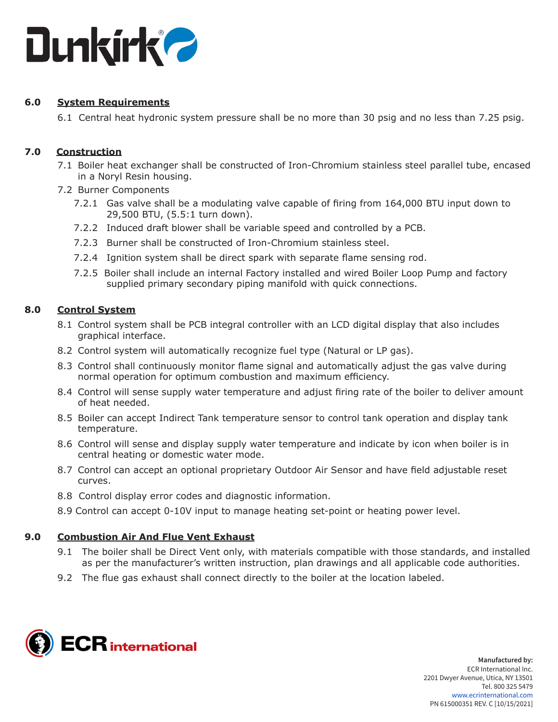

# **6.0 System Requirements**

6.1 Central heat hydronic system pressure shall be no more than 30 psig and no less than 7.25 psig.

# **7.0 Construction**

- 7.1 Boiler heat exchanger shall be constructed of Iron-Chromium stainless steel parallel tube, encased in a Noryl Resin housing.
- 7.2 Burner Components
	- 7.2.1 Gas valve shall be a modulating valve capable of firing from 164,000 BTU input down to 29,500 BTU, (5.5:1 turn down).
	- 7.2.2 Induced draft blower shall be variable speed and controlled by a PCB.
	- 7.2.3 Burner shall be constructed of Iron-Chromium stainless steel.
	- 7.2.4 Ignition system shall be direct spark with separate flame sensing rod.
	- 7.2.5 Boiler shall include an internal Factory installed and wired Boiler Loop Pump and factory supplied primary secondary piping manifold with quick connections.

# **8.0 Control System**

- 8.1 Control system shall be PCB integral controller with an LCD digital display that also includes graphical interface.
- 8.2 Control system will automatically recognize fuel type (Natural or LP gas).
- 8.3 Control shall continuously monitor flame signal and automatically adjust the gas valve during normal operation for optimum combustion and maximum efficiency.
- 8.4 Control will sense supply water temperature and adjust firing rate of the boiler to deliver amount of heat needed.
- 8.5 Boiler can accept Indirect Tank temperature sensor to control tank operation and display tank temperature.
- 8.6 Control will sense and display supply water temperature and indicate by icon when boiler is in central heating or domestic water mode.
- 8.7 Control can accept an optional proprietary Outdoor Air Sensor and have field adjustable reset curves.
- 8.8 Control display error codes and diagnostic information.
- 8.9 Control can accept 0-10V input to manage heating set-point or heating power level.

# **9.0 Combustion Air And Flue Vent Exhaust**

- 9.1 The boiler shall be Direct Vent only, with materials compatible with those standards, and installed as per the manufacturer's written instruction, plan drawings and all applicable code authorities.
- 9.2 The flue gas exhaust shall connect directly to the boiler at the location labeled.